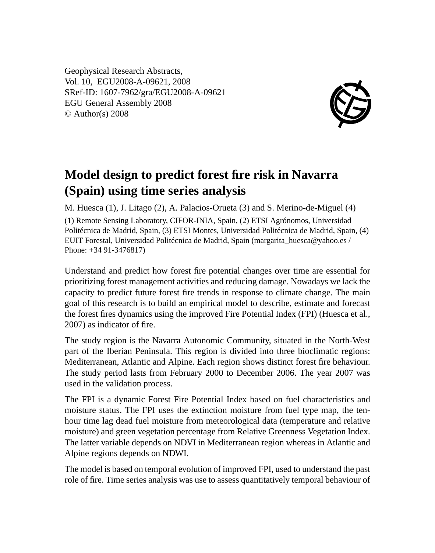Geophysical Research Abstracts, Vol. 10, EGU2008-A-09621, 2008 SRef-ID: 1607-7962/gra/EGU2008-A-09621 EGU General Assembly 2008 © Author(s) 2008



## **Model design to predict forest fire risk in Navarra (Spain) using time series analysis**

M. Huesca (1), J. Litago (2), A. Palacios-Orueta (3) and S. Merino-de-Miguel (4) (1) Remote Sensing Laboratory, CIFOR-INIA, Spain, (2) ETSI Agrónomos, Universidad Politécnica de Madrid, Spain, (3) ETSI Montes, Universidad Politécnica de Madrid, Spain, (4) EUIT Forestal, Universidad Politécnica de Madrid, Spain (margarita\_huesca@yahoo.es / Phone: +34 91-3476817)

Understand and predict how forest fire potential changes over time are essential for prioritizing forest management activities and reducing damage. Nowadays we lack the capacity to predict future forest fire trends in response to climate change. The main goal of this research is to build an empirical model to describe, estimate and forecast the forest fires dynamics using the improved Fire Potential Index (FPI) (Huesca et al., 2007) as indicator of fire.

The study region is the Navarra Autonomic Community, situated in the North-West part of the Iberian Peninsula. This region is divided into three bioclimatic regions: Mediterranean, Atlantic and Alpine. Each region shows distinct forest fire behaviour. The study period lasts from February 2000 to December 2006. The year 2007 was used in the validation process.

The FPI is a dynamic Forest Fire Potential Index based on fuel characteristics and moisture status. The FPI uses the extinction moisture from fuel type map, the tenhour time lag dead fuel moisture from meteorological data (temperature and relative moisture) and green vegetation percentage from Relative Greenness Vegetation Index. The latter variable depends on NDVI in Mediterranean region whereas in Atlantic and Alpine regions depends on NDWI.

The model is based on temporal evolution of improved FPI, used to understand the past role of fire. Time series analysis was use to assess quantitatively temporal behaviour of